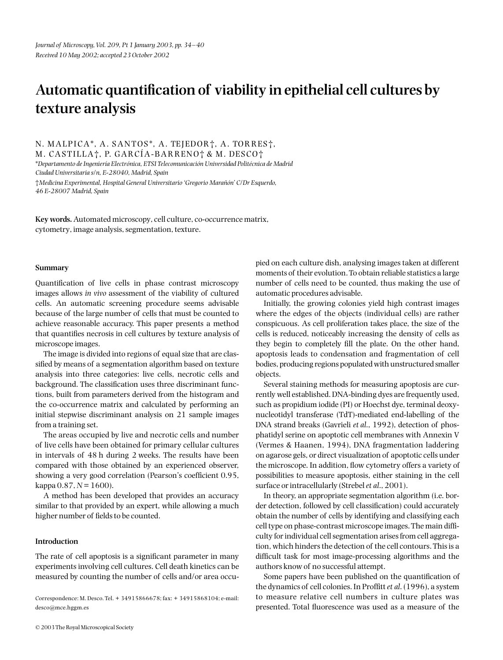# Automatic quantification of viability in epithelial cell cultures by **texture analysis**

# N. MALPICA\*, A. SANTOS\*, A. TEJEDOR†, A. TORRES†, M. CASTILLA<sup>†</sup>, P. GARCÍA-BARRENO<sup>†</sup> & M. DESCO<sup>†</sup>

\**Departamento de Ingeniería Electrónica, ETSI Telecomunicación Universidad Politécnica de Madrid Ciudad Universitaria s/n, E-28040, Madrid, Spain* 

†*Medicina Experimental, Hospital General Universitario 'Gregorio Marañón' C/Dr Esquerdo, 46 E-28007 Madrid, Spain* 

**Key words.** Automated microscopy, cell culture, co-occurrence matrix, cytometry, image analysis, segmentation, texture.

#### **Summary**

Quantification of live cells in phase contrast microscopy images allows *in vivo* assessment of the viability of cultured cells. An automatic screening procedure seems advisable because of the large number of cells that must be counted to achieve reasonable accuracy. This paper presents a method that quantifies necrosis in cell cultures by texture analysis of microscope images.

The image is divided into regions of equal size that are classified by means of a segmentation algorithm based on texture analysis into three categories: live cells, necrotic cells and background. The classification uses three discriminant functions, built from parameters derived from the histogram and the co-occurrence matrix and calculated by performing an initial stepwise discriminant analysis on 21 sample images from a training set.

The areas occupied by live and necrotic cells and number of live cells have been obtained for primary cellular cultures in intervals of 48 h during 2 weeks. The results have been compared with those obtained by an experienced observer, showing a very good correlation (Pearson's coefficient 0.95, kappa 0.87, *N* = 1600).

A method has been developed that provides an accuracy similar to that provided by an expert, while allowing a much higher number of fields to be counted.

## **Introduction**

The rate of cell apoptosis is a significant parameter in many experiments involving cell cultures. Cell death kinetics can be measured by counting the number of cells and/or area occu-

Correspondence: M. Desco. Tel. + 34915866678; fax: + 34915868104; e-mail: desco@mce.hggm.es

pied on each culture dish, analysing images taken at different moments of their evolution. To obtain reliable statistics a large number of cells need to be counted, thus making the use of automatic procedures advisable.

Initially, the growing colonies yield high contrast images where the edges of the objects (individual cells) are rather conspicuous. As cell proliferation takes place, the size of the cells is reduced, noticeably increasing the density of cells as they begin to completely fill the plate. On the other hand, apoptosis leads to condensation and fragmentation of cell bodies, producing regions populated with unstructured smaller objects.

Several staining methods for measuring apoptosis are currently well established. DNA-binding dyes are frequently used, such as propidium iodide (PI) or Hoechst dye, terminal deoxynucleotidyl transferase (TdT)-mediated end-labelling of the DNA strand breaks (Gavrieli *et al*., 1992), detection of phosphatidyl serine on apoptotic cell membranes with Annexin V (Vermes & Haanen, 1994), DNA fragmentation laddering on agarose gels, or direct visualization of apoptotic cells under the microscope. In addition, flow cytometry offers a variety of possibilities to measure apoptosis, either staining in the cell surface or intracellularly (Strebel *et al*., 2001).

In theory, an appropriate segmentation algorithm (i.e. border detection, followed by cell classification) could accurately obtain the number of cells by identifying and classifying each cell type on phase-contrast microscope images. The main difficulty for individual cell segmentation arises from cell aggregation, which hinders the detection of the cell contours. This is a difficult task for most image-processing algorithms and the authors know of no successful attempt.

Some papers have been published on the quantification of the dynamics of cell colonies. In Proffitt *et al*. (1996), a system to measure relative cell numbers in culture plates was presented. Total fluorescence was used as a measure of the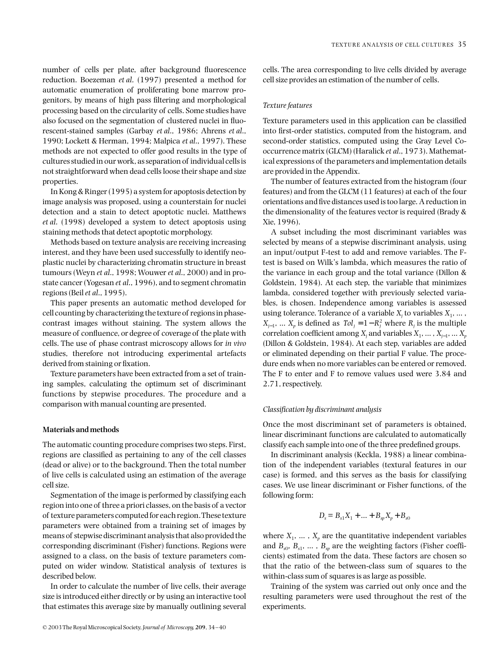number of cells per plate, after background fluorescence reduction. Boezeman *et al*. (1997) presented a method for automatic enumeration of proliferating bone marrow progenitors, by means of high pass filtering and morphological processing based on the circularity of cells. Some studies have also focused on the segmentation of clustered nuclei in fluorescent-stained samples (Garbay *et al*., 1986; Ahrens *et al*., 1990; Lockett & Herman, 1994; Malpica *et al*., 1997). These methods are not expected to offer good results in the type of cultures studied in our work, as separation of individual cells is not straightforward when dead cells loose their shape and size properties.

In Kong & Ringer (1995) a system for apoptosis detection by image analysis was proposed, using a counterstain for nuclei detection and a stain to detect apoptotic nuclei. Matthews *et al*. (1998) developed a system to detect apoptosis using staining methods that detect apoptotic morphology.

Methods based on texture analysis are receiving increasing interest, and they have been used successfully to identify neoplastic nuclei by characterizing chromatin structure in breast tumours (Weyn *et al*., 1998; Wouwer *et al*., 2000) and in prostate cancer (Yogesan *et al*., 1996), and to segment chromatin regions (Beil *et al*., 1995).

This paper presents an automatic method developed for cell counting by characterizing the texture of regions in phasecontrast images without staining. The system allows the measure of confluence, or degree of coverage of the plate with cells. The use of phase contrast microscopy allows for *in vivo* studies, therefore not introducing experimental artefacts derived from staining or fixation.

Texture parameters have been extracted from a set of training samples, calculating the optimum set of discriminant functions by stepwise procedures. The procedure and a comparison with manual counting are presented.

# **Materials and methods**

The automatic counting procedure comprises two steps. First, regions are classified as pertaining to any of the cell classes (dead or alive) or to the background. Then the total number of live cells is calculated using an estimation of the average cell size.

Segmentation of the image is performed by classifying each region into one of three a priori classes, on the basis of a vector of texture parameters computed for each region. These texture parameters were obtained from a training set of images by means of stepwise discriminant analysis that also provided the corresponding discriminant (Fisher) functions. Regions were assigned to a class, on the basis of texture parameters computed on wider window. Statistical analysis of textures is described below.

In order to calculate the number of live cells, their average size is introduced either directly or by using an interactive tool that estimates this average size by manually outlining several

cells. The area corresponding to live cells divided by average cell size provides an estimation of the number of cells.

# *Texture features*

Texture parameters used in this application can be classified into first-order statistics, computed from the histogram, and second-order statistics, computed using the Gray Level Cooccurrence matrix (GLCM) (Haralick *et al*., 1973). Mathematical expressions of the parameters and implementation details are provided in the Appendix.

The number of features extracted from the histogram (four features) and from the GLCM (11 features) at each of the four orientations and five distances used is too large. A reduction in the dimensionality of the features vector is required (Brady & Xie, 1996).

A subset including the most discriminant variables was selected by means of a stepwise discriminant analysis, using an input/output F-test to add and remove variables. The Ftest is based on Wilk's lambda, which measures the ratio of the variance in each group and the total variance (Dillon & Goldstein, 1984). At each step, the variable that minimizes lambda, considered together with previously selected variables, is chosen. Independence among variables is assessed using tolerance. Tolerance of a variable  $X_j$  to variables  $X_1, \ldots$ ,  $X_{j-1}$ , ...  $X_p$  is defined as  $Tol_j = 1 - R_j^2$  where  $R_j$  is the multiple correlation coefficient among  $X_j$  and variables  $X_1, \ldots, X_{j-1}, \ldots X_p$ (Dillon & Goldstein, 1984). At each step, variables are added or eliminated depending on their partial F value. The procedure ends when no more variables can be entered or removed. The F to enter and F to remove values used were 3.84 and 2.71, respectively.

#### *Classification by discriminant analysis*

Once the most discriminant set of parameters is obtained, linear discriminant functions are calculated to automatically classify each sample into one of the three predefined groups.

In discriminant analysis (Keckla, 1988) a linear combination of the independent variables (textural features in our case) is formed, and this serves as the basis for classifying cases. We use linear discriminant or Fisher functions, of the following form:

$$
D_s = B_{s1}X_1 + \dots + B_{sp}X_p + B_{s0}
$$

where  $X_1, \ldots, X_n$  are the quantitative independent variables and  $B_{s0}$ ,  $B_{s1}$ , ...,  $B_{sp}$  are the weighting factors (Fisher coefficients) estimated from the data. These factors are chosen so that the ratio of the between-class sum of squares to the within-class sum of squares is as large as possible.

Training of the system was carried out only once and the resulting parameters were used throughout the rest of the experiments.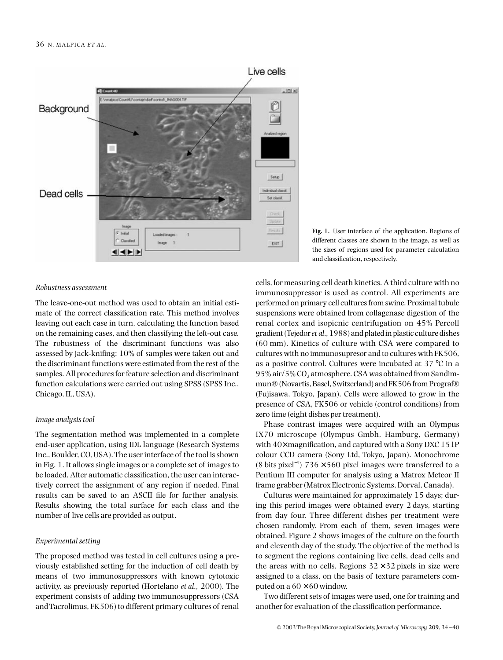

**Fig. 1.** User interface of the application. Regions of different classes are shown in the image, as well as the sizes of regions used for parameter calculation and classification, respectively.

#### *Robustness assessment*

The leave-one-out method was used to obtain an initial estimate of the correct classification rate. This method involves leaving out each case in turn, calculating the function based on the remaining cases, and then classifying the left-out case. The robustness of the discriminant functions was also assessed by jack-knifing: 10% of samples were taken out and the discriminant functions were estimated from the rest of the samples. All procedures for feature selection and discriminant function calculations were carried out using SPSS (SPSS Inc., Chicago, IL, USA).

#### *Image analysis tool*

The segmentation method was implemented in a complete end-user application, using IDL language (Research Systems Inc., Boulder, CO, USA). The user interface of the tool is shown in Fig. 1. It allows single images or a complete set of images to be loaded. After automatic classification, the user can interactively correct the assignment of any region if needed. Final results can be saved to an ASCII file for further analysis. Results showing the total surface for each class and the number of live cells are provided as output.

#### *Experimental setting*

The proposed method was tested in cell cultures using a previously established setting for the induction of cell death by means of two immunosuppressors with known cytotoxic activity, as previously reported (Hortelano *et al*., 2000). The experiment consists of adding two immunosuppressors (CSA and Tacrolimus, FK506) to different primary cultures of renal

cells, for measuring cell death kinetics. A third culture with no immunosuppressor is used as control. All experiments are performed on primary cell cultures from swine. Proximal tubule suspensions were obtained from collagenase digestion of the renal cortex and isopicnic centrifugation on 45% Percoll gradient (Tejedor *et al*., 1988) and plated in plastic culture dishes (60 mm). Kinetics of culture with CSA were compared to cultures with no immunosupresor and to cultures with FK506, as a positive control. Cultures were incubated at 37 °C in a 95% air/5% CO<sub>2</sub> atmosphere. CSA was obtained from Sandimmun® (Novartis, Basel, Switzerland) and FK506 from Prograf® (Fujisawa, Tokyo, Japan). Cells were allowed to grow in the presence of CSA, FK506 or vehicle (control conditions) from zero time (eight dishes per treatment).

Phase contrast images were acquired with an Olympus IX70 microscope (Olympus Gmbh, Hamburg, Germany) with 40× magnification, and captured with a Sony DXC 151P colour CCD camera (Sony Ltd, Tokyo, Japan). Monochrome  $(8 \text{ bits pixel}^{-1})$  736 × 560 pixel images were transferred to a Pentium III computer for analysis using a Matrox Meteor II frame grabber (Matrox Electronic Systems, Dorval, Canada).

Cultures were maintained for approximately 15 days; during this period images were obtained every 2 days, starting from day four. Three different dishes per treatment were chosen randomly. From each of them, seven images were obtained. Figure 2 shows images of the culture on the fourth and eleventh day of the study. The objective of the method is to segment the regions containing live cells, dead cells and the areas with no cells. Regions  $32 \times 32$  pixels in size were assigned to a class, on the basis of texture parameters computed on a  $60 \times 60$  window.

Two different sets of images were used, one for training and another for evaluation of the classification performance.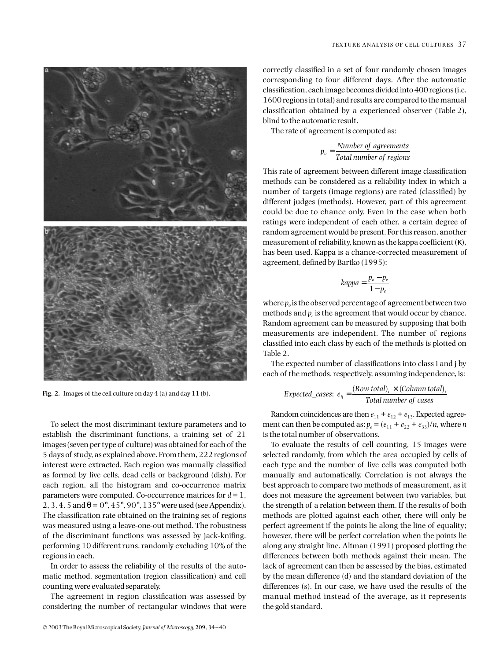

**Fig. 2.** Images of the cell culture on day 4 (a) and day 11 (b).

To select the most discriminant texture parameters and to establish the discriminant functions, a training set of 21 images (seven per type of culture) was obtained for each of the 5 days of study, as explained above. From them, 222 regions of interest were extracted. Each region was manually classified as formed by live cells, dead cells or background (dish). For each region, all the histogram and co-occurrence matrix parameters were computed. Co-occurrence matrices for *d* = 1, 2, 3, 4, 5 and  $\theta = 0^\circ$ , 45°, 90°, 135° were used (see Appendix). The classification rate obtained on the training set of regions was measured using a leave-one-out method. The robustness of the discriminant functions was assessed by jack-knifing, performing 10 different runs, randomly excluding 10% of the regions in each.

In order to assess the reliability of the results of the automatic method, segmentation (region classification) and cell counting were evaluated separately.

The agreement in region classification was assessed by considering the number of rectangular windows that were

correctly classified in a set of four randomly chosen images corresponding to four different days. After the automatic classification, each image becomes divided into 400 regions (i.e. 1600 regions in total) and results are compared to the manual classification obtained by a experienced observer (Table 2), blind to the automatic result.

The rate of agreement is computed as:

$$
p_o = \frac{Number\ of\ agreements}{Total\ number\ of\ regions}
$$

This rate of agreement between different image classification methods can be considered as a reliability index in which a number of targets (image regions) are rated (classified) by different judges (methods). However, part of this agreement could be due to chance only. Even in the case when both ratings were independent of each other, a certain degree of random agreement would be present. For this reason, another measurement of reliability, known as the kappa coefficient  $(\kappa)$ , has been used. Kappa is a chance-corrected measurement of agreement, defined by Bartko (1995):

$$
kappa = \frac{p_o - p_e}{1 - p_e}
$$

where  $p<sub>a</sub>$  is the observed percentage of agreement between two methods and  $p_e$  is the agreement that would occur by chance. Random agreement can be measured by supposing that both measurements are independent. The number of regions classified into each class by each of the methods is plotted on Table 2.

The expected number of classifications into class i and j by each of the methods, respectively, assuming independence, is:

Expected\\_cases: 
$$
e_{ij} = \frac{(Row total)_i \times (Column total)_i}{Total number of cases}
$$

Random coincidences are then  $e_{11} + e_{12} + e_{13}$ . Expected agreement can then be computed as:  $p_e = (e_{11} + e_{22} + e_{33})/n$ , where *n* is the total number of observations.

To evaluate the results of cell counting, 15 images were selected randomly, from which the area occupied by cells of each type and the number of live cells was computed both manually and automatically. Correlation is not always the best approach to compare two methods of measurement, as it does not measure the agreement between two variables, but the strength of a relation between them. If the results of both methods are plotted against each other, there will only be perfect agreement if the points lie along the line of equality; however, there will be perfect correlation when the points lie along any straight line. Altman (1991) proposed plotting the differences between both methods against their mean. The lack of agreement can then be assessed by the bias, estimated by the mean difference (d) and the standard deviation of the differences (s). In our case, we have used the results of the manual method instead of the average, as it represents the gold standard.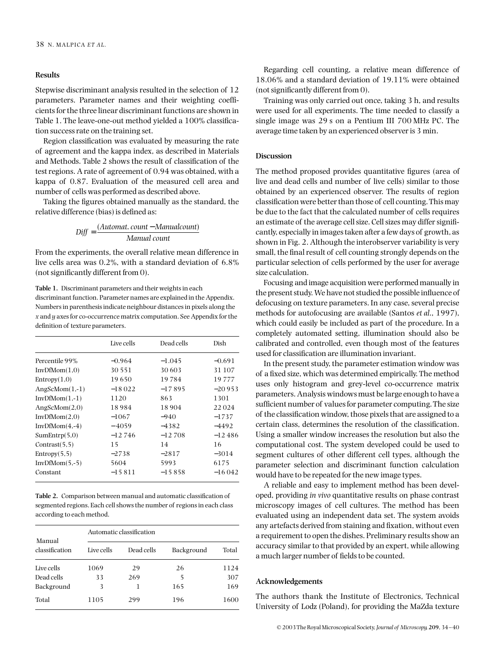## **Results**

Stepwise discriminant analysis resulted in the selection of 12 parameters. Parameter names and their weighting coefficients for the three linear discriminant functions are shown in Table 1. The leave-one-out method yielded a 100% classification success rate on the training set.

Region classification was evaluated by measuring the rate of agreement and the kappa index, as described in Materials and Methods. Table 2 shows the result of classification of the test regions. A rate of agreement of 0.94 was obtained, with a kappa of 0.87. Evaluation of the measured cell area and number of cells was performed as described above.

Taking the figures obtained manually as the standard, the relative difference (bias) is defined as:

$$
Diff = \frac{(Automat, count - Manualcount)}{Manual count}
$$

From the experiments, the overall relative mean difference in live cells area was 0.2%, with a standard deviation of 6.8% (not significantly different from 0).

**Table 1.** Discriminant parameters and their weights in each discriminant function. Parameter names are explained in the Appendix. Numbers in parenthesis indicate neighbour distances in pixels along the *x* and *y* axes for co-occurrence matrix computation. See Appendix for the definition of texture parameters.

|                  | Live cells | Dead cells | Dish     |
|------------------|------------|------------|----------|
| Percentile 99%   | $-0.964$   | $-1.045$   | $-0.691$ |
| InvDfMom(1,0)    | 30.551     | 30.603     | 31 107   |
| Entropy(1,0)     | 19650      | 19784      | 19777    |
| $AngScMom(1,-1)$ | $-18022$   | $-17895$   | $-20953$ |
| $InvDfMom(1,-1)$ | 1120       | 863        | 1301     |
| AngScMom(2,0)    | 18984      | 18904      | 22024    |
| InvDfMom(2,0)    | $-1067$    | $-940$     | $-1737$  |
| $InvDfMom(4,-4)$ | $-4059$    | $-4382$    | $-4492$  |
| SumEntropy(5.0)  | $-12746$   | $-12\,708$ | $-12486$ |
| Contrast(5,5)    | 15         | 14         | 16       |
| Entropy(5, 5)    | $-2738$    | $-2817$    | $-3014$  |
| $InvDfMom(5,-5)$ | 5604       | 5993       | 6175     |
| Constant         | $-15811$   | $-15858$   | $-16042$ |

**Table 2.** Comparison between manual and automatic classification of segmented regions. Each cell shows the number of regions in each class according to each method.

| Manual         | Automatic classification |            |            |       |  |
|----------------|--------------------------|------------|------------|-------|--|
| classification | Live cells               | Dead cells | Background | Total |  |
| Live cells     | 1069                     | 29         | 26         | 1124  |  |
| Dead cells     | 33                       | 269        | 5          | 307   |  |
| Background     | 3                        |            | 165        | 169   |  |
| Total          | 1105                     | 299        | 196        | 1600  |  |

Regarding cell counting, a relative mean difference of 18.06% and a standard deviation of 19.11% were obtained (not significantly different from 0).

Training was only carried out once, taking 3 h, and results were used for all experiments. The time needed to classify a single image was 29 s on a Pentium III 700 MHz PC. The average time taken by an experienced observer is 3 min.

### **Discussion**

The method proposed provides quantitative figures (area of live and dead cells and number of live cells) similar to those obtained by an experienced observer. The results of region classification were better than those of cell counting. This may be due to the fact that the calculated number of cells requires an estimate of the average cell size. Cell sizes may differ significantly, especially in images taken after a few days of growth, as shown in Fig. 2. Although the interobserver variability is very small, the final result of cell counting strongly depends on the particular selection of cells performed by the user for average size calculation.

Focusing and image acquisition were performed manually in the present study. We have not studied the possible influence of defocusing on texture parameters. In any case, several precise methods for autofocusing are available (Santos *et al*., 1997), which could easily be included as part of the procedure. In a completely automated setting, illumination should also be calibrated and controlled, even though most of the features used for classification are illumination invariant.

In the present study, the parameter estimation window was of a fixed size, which was determined empirically. The method uses only histogram and grey-level co-occurrence matrix parameters. Analysis windows must be large enough to have a sufficient number of values for parameter computing. The size of the classification window, those pixels that are assigned to a certain class, determines the resolution of the classification. Using a smaller window increases the resolution but also the computational cost. The system developed could be used to segment cultures of other different cell types, although the parameter selection and discriminant function calculation would have to be repeated for the new image types.

A reliable and easy to implement method has been developed, providing *in vivo* quantitative results on phase contrast microscopy images of cell cultures. The method has been evaluated using an independent data set. The system avoids any artefacts derived from staining and fixation, without even a requirement to open the dishes. Preliminary results show an accuracy similar to that provided by an expert, while allowing a much larger number of fields to be counted.

# **Acknowledgements**

The authors thank the Institute of Electronics, Technical University of Lodz (Poland), for providing the MaZda texture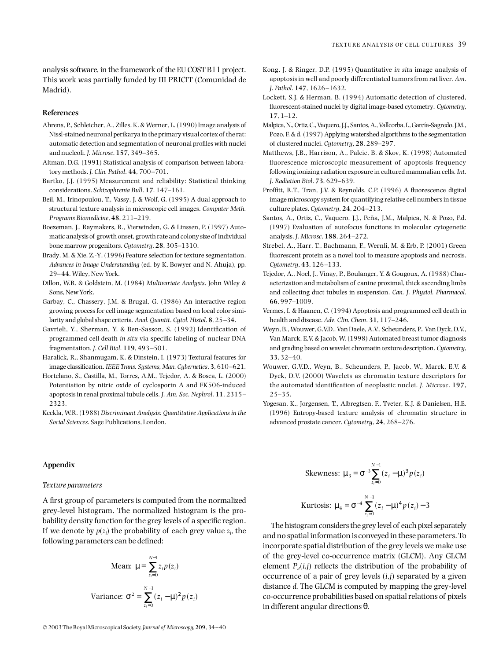analysis software, in the framework of the EU COST B11 project. This work was partially funded by III PRICIT (Comunidad de Madrid).

#### **References**

- Ahrens, P., Schleicher, A., Zilles, K. & Werner, L. (1990) Image analysis of Nissl-stained neuronal perikarya in the primary visual cortex of the rat: automatic detection and segmentation of neuronal profiles with nuclei and nucleoli. *J. Microsc*. **157**, 349–365.
- Altman, D.G. (1991) Statistical analysis of comparison between laboratory methods. *J. Clin. Pathol.* **44**, 700–701.
- Bartko, J.J. (1995) Measurement and reliability: Statistical thinking considerations. *Schizophrenia Bull*. **17**, 147–161.
- Beil, M., Irinopoulou, T., Vassy, J. & Wolf, G. (1995) A dual approach to structural texture analysis in microscopic cell images. *Computer Meth. Programs Biomedicine*, **48**, 211–219.
- Boezeman, J., Raymakers, R., Vierwinden, G. & Linssen, P. (1997) Automatic analysis of growth onset, growth rate and colony size of individual bone marrow progenitors. *Cytometry*, **28**, 305–1310.
- Brady, M. & Xie, Z.-Y. (1996) Feature selection for texture segmentation. *Advances in Image Understanding* (ed. by K. Bowyer and N. Ahuja), pp. 29–44. Wiley, New York.
- Dillon, W.R. & Goldstein, M. (1984) *Multivariate Analysis*. John Wiley & Sons, New York.
- Garbay, C., Chassery, J.M. & Brugal, G. (1986) An interactive region growing process for cell image segmentation based on local color similarity and global shape criteria. *Anal. Quantit. Cytol. Histol*. **8**, 25–34.
- Gavrieli, Y., Sherman, Y. & Ben-Sasson, S. (1992) Identification of programmed cell death *in situ* via specific labeling of nuclear DNA fragmentation. *J. Cell Biol*. **119**, 493–501.
- Haralick, R., Shanmugam, K. & Dinstein, I. (1973) Textural features for image classification. *IEEE Trans. Systems, Man. Cybernetics*, **3**, 610–621.
- Hortelano, S., Castilla, M., Torres, A.M., Tejedor, A. & Bosca, L. (2000) Potentiation by nitric oxide of cyclosporin A and FK506-induced apoptosis in renal proximal tubule cells. *J. Am. Soc. Nephrol*. **11**, 2315– 2323.
- Keckla, W.R. (1988) *Discriminant Analysis: Quantitative Applications in the Social Sciences*. Sage Publications, London.

### **Appendix**

#### *Texture parameters*

A first group of parameters is computed from the normalized grey-level histogram. The normalized histogram is the probability density function for the grey levels of a specific region. If we denote by  $p(z_i)$  the probability of each grey value  $z_i$ , the following parameters can be defined:

Mean: 
$$
\mu = \sum_{z_i=0}^{N-1} z_i p(z_i)
$$
  
Variance:  $\sigma^2 = \sum_{z_i=0}^{N-1} (z_i - \mu)^2 p(z_i)$ 

- Kong, J. & Ringer, D.P. (1995) Quantitative *in situ* image analysis of apoptosis in well and poorly differentiated tumors from rat liver. *Am. J. Pathol*. **147**, 1626–1632.
- Lockett, S.J. & Herman, B. (1994) Automatic detection of clustered, fluorescent-stained nuclei by digital image-based cytometry. *Cytometry*, **17**, 1–12.
- Malpica, N., Ortiz, C., Vaquero, J.J., Santos, A., Vallcorba, I., García-Sagredo, J.M., Pozo, F. & d. (1997) Applying watershed algorithms to the segmentation of clustered nuclei. *Cytometry*, **28**, 289–297.
- Matthews, J.B., Harrison, A., Palcic, B. & Skov, K. (1998) Automated fluorescence microscopic measurement of apoptosis frequency following ionizing radiation exposure in cultured mammalian cells. *Int. J. Radiation Biol*. **73**, 629–639.
- Proffitt, R.T., Tran, J.V. & Reynolds, C.P. (1996) A fluorescence digital image microscopy system for quantifying relative cell numbers in tissue culture plates. *Cytometry*, **24**, 204–213.
- Santos, A., Ortiz, C., Vaquero, J.J., Peña, J.M., Malpica, N. & Pozo, F.d. (1997) Evaluation of autofocus functions in molecular cytogenetic analysis. *J. Microsc*. **188**, 264–272.
- Strebel, A., Harr, T., Bachmann, F., Wernli, M. & Erb, P. (2001) Green fluorescent protein as a novel tool to measure apoptosis and necrosis. *Cytometry*, **43**, 126–133.
- Tejedor, A., Noel, J., Vinay, P., Boulanger, Y. & Gougoux, A. (1988) Characterization and metabolism of canine proximal, thick ascending limbs and collecting duct tubules in suspension. *Can. J. Physiol. Pharmacol*. **66**, 997–1009.
- Vermes, I. & Haanen, C. (1994) Apoptosis and programmed cell death in health and disease. *Adv. Clin. Chem*. **31**, 117–246.
- Weyn, B., Wouwer, G.V.D., Van Daele, A.V., Scheunders, P., Van Dyck, D.V., Van Marck, E.V. & Jacob, W. (1998) Automated breast tumor diagnosis and grading based on wavelet chromatin texture description. *Cytometry*, **33**, 32–40.
- Wouwer, G.V.D., Weyn, B., Scheunders, P., Jacob, W., Marck, E.V. & Dyck, D.V. (2000) Wavelets as chromatin texture descriptors for the automated identification of neoplastic nuclei. *J. Microsc*. **197**, 25–35.
- Yogesan, K., Jorgensen, T., Albregtsen, F., Tveter, K.J. & Danielsen, H.E. (1996) Entropy-based texture analysis of chromatin structure in advanced prostate cancer. *Cytometry*, **24**, 268–276.

Skewness: 
$$
\mu_3 = \sigma^{-3} \sum_{z_i=0}^{N-1} (z_i - \mu)^3 p(z_i)
$$
  
Kurtosis:  $\mu_4 = \sigma^{-4} \sum_{z_i=0}^{N-1} (z_i - \mu)^4 p(z_i) - 3$ 

The histogram considers the grey level of each pixel separately and no spatial information is conveyed in these parameters. To incorporate spatial distribution of the grey levels we make use of the grey-level co-occurrence matrix (GLCM). Any GLCM element  $P_d(i,j)$  reflects the distribution of the probability of occurrence of a pair of grey levels (*i*,*j*) separated by a given distance *d*. The GLCM is computed by mapping the grey-level co-occurrence probabilities based on spatial relations of pixels in different angular directions θ.